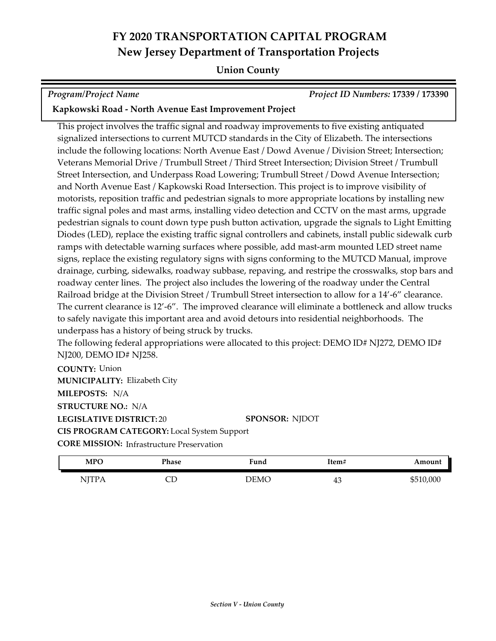#### **Union County**

*Program/Project Name Project ID Numbers:* **17339 / 173390**

#### **Kapkowski Road - North Avenue East Improvement Project**

This project involves the traffic signal and roadway improvements to five existing antiquated signalized intersections to current MUTCD standards in the City of Elizabeth. The intersections include the following locations: North Avenue East / Dowd Avenue / Division Street; Intersection; Veterans Memorial Drive / Trumbull Street / Third Street Intersection; Division Street / Trumbull Street Intersection, and Underpass Road Lowering; Trumbull Street / Dowd Avenue Intersection; and North Avenue East / Kapkowski Road Intersection. This project is to improve visibility of motorists, reposition traffic and pedestrian signals to more appropriate locations by installing new traffic signal poles and mast arms, installing video detection and CCTV on the mast arms, upgrade pedestrian signals to count down type push button activation, upgrade the signals to Light Emitting Diodes (LED), replace the existing traffic signal controllers and cabinets, install public sidewalk curb ramps with detectable warning surfaces where possible, add mast-arm mounted LED street name signs, replace the existing regulatory signs with signs conforming to the MUTCD Manual, improve drainage, curbing, sidewalks, roadway subbase, repaving, and restripe the crosswalks, stop bars and roadway center lines. The project also includes the lowering of the roadway under the Central Railroad bridge at the Division Street / Trumbull Street intersection to allow for a 14'-6" clearance. The current clearance is 12'-6". The improved clearance will eliminate a bottleneck and allow trucks to safely navigate this important area and avoid detours into residential neighborhoods. The underpass has a history of being struck by trucks.

The following federal appropriations were allocated to this project: DEMO ID# NJ272, DEMO ID# NJ200, DEMO ID# NJ258.

**COUNTY:** Union **LEGISLATIVE DISTRICT:** 20 **MILEPOSTS:** N/A **STRUCTURE NO.:** N/A **MUNICIPALITY: Elizabeth City CORE MISSION: Infrastructure Preservation SPONSOR:** NJDOT **CIS PROGRAM CATEGORY:** Local System Support

| <b>MPC</b>                             | Phase | Fund | Item# | Amount    |
|----------------------------------------|-------|------|-------|-----------|
| NJTP.<br>$\mathbf{11} \mathbf{\Omega}$ | ىب    | DEMC | ъC    | \$510,000 |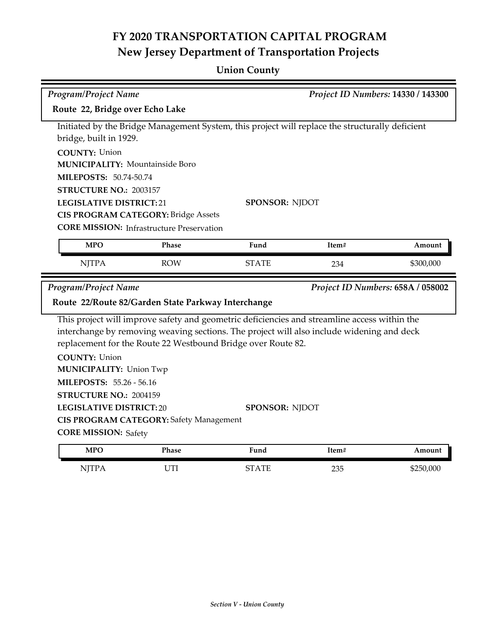## **Union County**

|                                                                               | Program/Project Name<br>Project ID Numbers: 14330 / 143300 |                                                                                                 |       |                                   |
|-------------------------------------------------------------------------------|------------------------------------------------------------|-------------------------------------------------------------------------------------------------|-------|-----------------------------------|
| Route 22, Bridge over Echo Lake                                               |                                                            |                                                                                                 |       |                                   |
|                                                                               |                                                            | Initiated by the Bridge Management System, this project will replace the structurally deficient |       |                                   |
| bridge, built in 1929.                                                        |                                                            |                                                                                                 |       |                                   |
| <b>COUNTY: Union</b>                                                          |                                                            |                                                                                                 |       |                                   |
| <b>MUNICIPALITY: Mountainside Boro</b>                                        |                                                            |                                                                                                 |       |                                   |
| MILEPOSTS: 50.74-50.74                                                        |                                                            |                                                                                                 |       |                                   |
| STRUCTURE NO.: 2003157                                                        |                                                            |                                                                                                 |       |                                   |
| <b>LEGISLATIVE DISTRICT:21</b>                                                |                                                            | <b>SPONSOR: NJDOT</b>                                                                           |       |                                   |
| <b>CIS PROGRAM CATEGORY: Bridge Assets</b>                                    |                                                            |                                                                                                 |       |                                   |
| <b>CORE MISSION:</b> Infrastructure Preservation                              |                                                            |                                                                                                 |       |                                   |
| <b>MPO</b>                                                                    | Phase                                                      | Fund                                                                                            | Item# | Amount                            |
| <b>NJTPA</b>                                                                  | <b>ROW</b>                                                 | <b>STATE</b>                                                                                    | 234   | \$300,000                         |
|                                                                               |                                                            |                                                                                                 |       |                                   |
| Program/Project Name                                                          |                                                            |                                                                                                 |       | Project ID Numbers: 658A / 058002 |
| Route 22/Route 82/Garden State Parkway Interchange                            |                                                            |                                                                                                 |       |                                   |
|                                                                               |                                                            | This project will improve safety and geometric deficiencies and streamline access within the    |       |                                   |
|                                                                               |                                                            |                                                                                                 |       |                                   |
|                                                                               |                                                            | interchange by removing weaving sections. The project will also include widening and deck       |       |                                   |
|                                                                               |                                                            | replacement for the Route 22 Westbound Bridge over Route 82.                                    |       |                                   |
| <b>COUNTY: Union</b>                                                          |                                                            |                                                                                                 |       |                                   |
| <b>MUNICIPALITY: Union Twp</b>                                                |                                                            |                                                                                                 |       |                                   |
| MILEPOSTS: 55.26 - 56.16                                                      |                                                            |                                                                                                 |       |                                   |
| STRUCTURE NO.: 2004159                                                        |                                                            |                                                                                                 |       |                                   |
| <b>LEGISLATIVE DISTRICT:20</b>                                                |                                                            | <b>SPONSOR: NJDOT</b>                                                                           |       |                                   |
|                                                                               |                                                            |                                                                                                 |       |                                   |
| <b>CIS PROGRAM CATEGORY: Safety Management</b><br><b>CORE MISSION: Safety</b> |                                                            |                                                                                                 |       |                                   |
| <b>MPO</b>                                                                    | Phase                                                      | Fund                                                                                            | Item# | Amount                            |
| <b>NJTPA</b>                                                                  | UTI                                                        | <b>STATE</b>                                                                                    | 235   | \$250,000                         |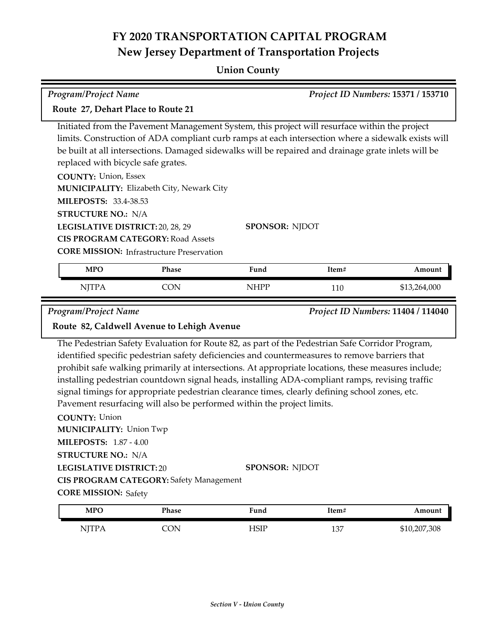### **Union County**

| <b>Program/Project Name</b>                                                                                                                                                                         |                                                                                                     |                       |       | Project ID Numbers: 15371 / 153710 |
|-----------------------------------------------------------------------------------------------------------------------------------------------------------------------------------------------------|-----------------------------------------------------------------------------------------------------|-----------------------|-------|------------------------------------|
| Route 27, Dehart Place to Route 21                                                                                                                                                                  |                                                                                                     |                       |       |                                    |
|                                                                                                                                                                                                     |                                                                                                     |                       |       |                                    |
| Initiated from the Pavement Management System, this project will resurface within the project<br>limits. Construction of ADA compliant curb ramps at each intersection where a sidewalk exists will |                                                                                                     |                       |       |                                    |
|                                                                                                                                                                                                     | be built at all intersections. Damaged sidewalks will be repaired and drainage grate inlets will be |                       |       |                                    |
| replaced with bicycle safe grates.                                                                                                                                                                  |                                                                                                     |                       |       |                                    |
| <b>COUNTY: Union, Essex</b>                                                                                                                                                                         |                                                                                                     |                       |       |                                    |
|                                                                                                                                                                                                     | MUNICIPALITY: Elizabeth City, Newark City                                                           |                       |       |                                    |
| MILEPOSTS: 33.4-38.53                                                                                                                                                                               |                                                                                                     |                       |       |                                    |
| <b>STRUCTURE NO.: N/A</b>                                                                                                                                                                           |                                                                                                     |                       |       |                                    |
| LEGISLATIVE DISTRICT: 20, 28, 29                                                                                                                                                                    |                                                                                                     | <b>SPONSOR: NJDOT</b> |       |                                    |
|                                                                                                                                                                                                     | <b>CIS PROGRAM CATEGORY: Road Assets</b>                                                            |                       |       |                                    |
|                                                                                                                                                                                                     | <b>CORE MISSION:</b> Infrastructure Preservation                                                    |                       |       |                                    |
| <b>MPO</b>                                                                                                                                                                                          | Phase                                                                                               | Fund                  | Item# | Amount                             |
| <b>NJTPA</b>                                                                                                                                                                                        | <b>CON</b>                                                                                          | <b>NHPP</b>           | 110   | \$13,264,000                       |
| <b>Program/Project Name</b>                                                                                                                                                                         |                                                                                                     |                       |       | Project ID Numbers: 11404 / 114040 |
|                                                                                                                                                                                                     | Route 82, Caldwell Avenue to Lehigh Avenue                                                          |                       |       |                                    |
|                                                                                                                                                                                                     | The Pedestrian Safety Evaluation for Route 82, as part of the Pedestrian Safe Corridor Program,     |                       |       |                                    |
|                                                                                                                                                                                                     | identified specific pedestrian safety deficiencies and countermeasures to remove barriers that      |                       |       |                                    |
| prohibit safe walking primarily at intersections. At appropriate locations, these measures include;                                                                                                 |                                                                                                     |                       |       |                                    |
| installing pedestrian countdown signal heads, installing ADA-compliant ramps, revising traffic                                                                                                      |                                                                                                     |                       |       |                                    |
| signal timings for appropriate pedestrian clearance times, clearly defining school zones, etc.<br>Pavement resurfacing will also be performed within the project limits.                            |                                                                                                     |                       |       |                                    |
| <b>COUNTY: Union</b>                                                                                                                                                                                |                                                                                                     |                       |       |                                    |
| <b>MUNICIPALITY: Union Twp</b>                                                                                                                                                                      |                                                                                                     |                       |       |                                    |
| <b>MILEPOSTS: 1.87 - 4.00</b>                                                                                                                                                                       |                                                                                                     |                       |       |                                    |
| <b>STRUCTURE NO.: N/A</b>                                                                                                                                                                           |                                                                                                     |                       |       |                                    |
| <b>LEGISLATIVE DISTRICT:20</b>                                                                                                                                                                      |                                                                                                     | <b>SPONSOR: NJDOT</b> |       |                                    |

**CIS PROGRAM CATEGORY:** Safety Management

**CORE MISSION: Safety** 

| <b>MPO</b>                    | Phase | Fund | Item# | Amount       |
|-------------------------------|-------|------|-------|--------------|
| NITP A<br><b>TT 17</b><br>. . | CON   | HSIP | 137   | \$10,207,308 |